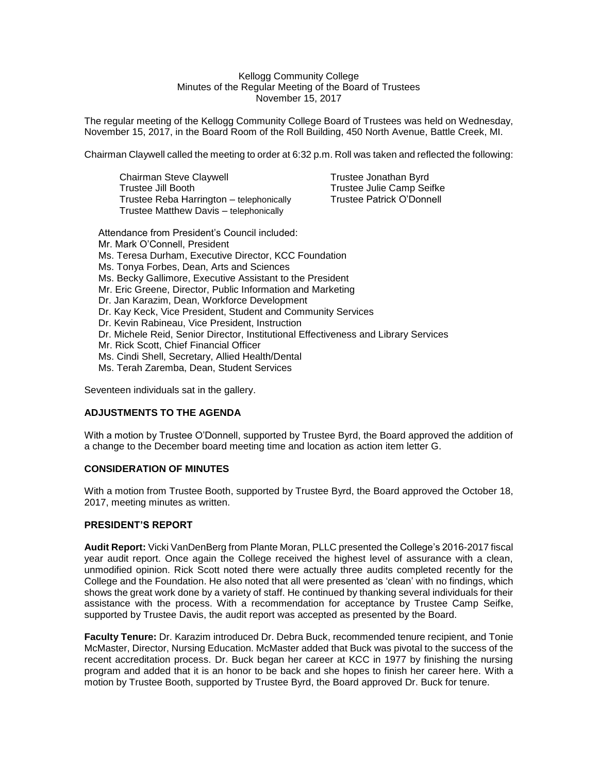#### Kellogg Community College Minutes of the Regular Meeting of the Board of Trustees November 15, 2017

The regular meeting of the Kellogg Community College Board of Trustees was held on Wednesday, November 15, 2017, in the Board Room of the Roll Building, 450 North Avenue, Battle Creek, MI.

Chairman Claywell called the meeting to order at 6:32 p.m. Roll was taken and reflected the following:

Chairman Steve Claywell **Trustee Jonathan Byrd** Trustee Jill Booth Trustee Julie Camp Seifke<br>Trustee Reba Harrington – telephonically Trustee Patrick O'Donnell Trustee Reba Harrington – telephonically Trustee Matthew Davis – telephonically

Attendance from President's Council included: Mr. Mark O'Connell, President Ms. Teresa Durham, Executive Director, KCC Foundation Ms. Tonya Forbes, Dean, Arts and Sciences Ms. Becky Gallimore, Executive Assistant to the President Mr. Eric Greene, Director, Public Information and Marketing Dr. Jan Karazim, Dean, Workforce Development Dr. Kay Keck, Vice President, Student and Community Services Dr. Kevin Rabineau, Vice President, Instruction Dr. Michele Reid, Senior Director, Institutional Effectiveness and Library Services Mr. Rick Scott, Chief Financial Officer Ms. Cindi Shell, Secretary, Allied Health/Dental Ms. Terah Zaremba, Dean, Student Services

Seventeen individuals sat in the gallery.

### **ADJUSTMENTS TO THE AGENDA**

With a motion by Trustee O'Donnell, supported by Trustee Byrd, the Board approved the addition of a change to the December board meeting time and location as action item letter G.

### **CONSIDERATION OF MINUTES**

With a motion from Trustee Booth, supported by Trustee Byrd, the Board approved the October 18, 2017, meeting minutes as written.

### **PRESIDENT'S REPORT**

**Audit Report:** Vicki VanDenBerg from Plante Moran, PLLC presented the College's 2016-2017 fiscal year audit report. Once again the College received the highest level of assurance with a clean, unmodified opinion. Rick Scott noted there were actually three audits completed recently for the College and the Foundation. He also noted that all were presented as 'clean' with no findings, which shows the great work done by a variety of staff. He continued by thanking several individuals for their assistance with the process. With a recommendation for acceptance by Trustee Camp Seifke, supported by Trustee Davis, the audit report was accepted as presented by the Board.

**Faculty Tenure:** Dr. Karazim introduced Dr. Debra Buck, recommended tenure recipient, and Tonie McMaster, Director, Nursing Education. McMaster added that Buck was pivotal to the success of the recent accreditation process. Dr. Buck began her career at KCC in 1977 by finishing the nursing program and added that it is an honor to be back and she hopes to finish her career here. With a motion by Trustee Booth, supported by Trustee Byrd, the Board approved Dr. Buck for tenure.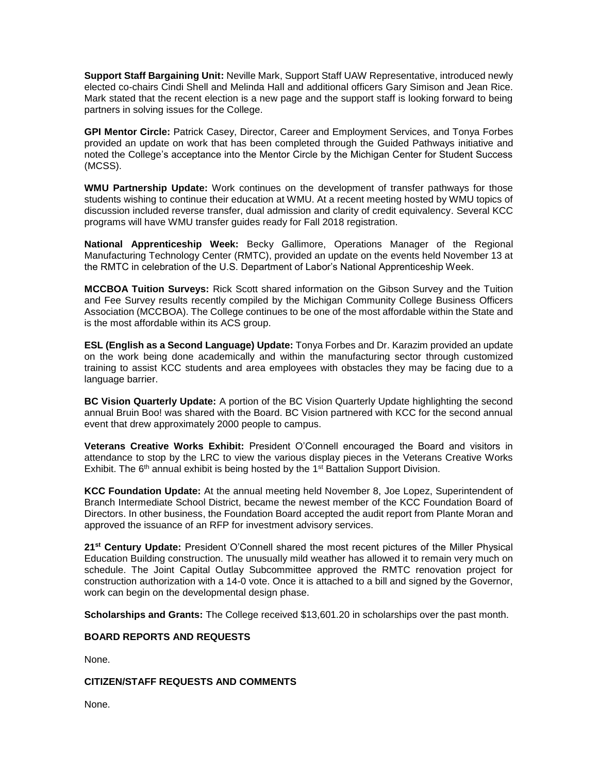**Support Staff Bargaining Unit:** Neville Mark, Support Staff UAW Representative, introduced newly elected co-chairs Cindi Shell and Melinda Hall and additional officers Gary Simison and Jean Rice. Mark stated that the recent election is a new page and the support staff is looking forward to being partners in solving issues for the College.

**GPI Mentor Circle:** Patrick Casey, Director, Career and Employment Services, and Tonya Forbes provided an update on work that has been completed through the Guided Pathways initiative and noted the College's acceptance into the Mentor Circle by the Michigan Center for Student Success (MCSS).

**WMU Partnership Update:** Work continues on the development of transfer pathways for those students wishing to continue their education at WMU. At a recent meeting hosted by WMU topics of discussion included reverse transfer, dual admission and clarity of credit equivalency. Several KCC programs will have WMU transfer guides ready for Fall 2018 registration.

**National Apprenticeship Week:** Becky Gallimore, Operations Manager of the Regional Manufacturing Technology Center (RMTC), provided an update on the events held November 13 at the RMTC in celebration of the U.S. Department of Labor's National Apprenticeship Week.

**MCCBOA Tuition Surveys:** Rick Scott shared information on the Gibson Survey and the Tuition and Fee Survey results recently compiled by the Michigan Community College Business Officers Association (MCCBOA). The College continues to be one of the most affordable within the State and is the most affordable within its ACS group.

**ESL (English as a Second Language) Update:** Tonya Forbes and Dr. Karazim provided an update on the work being done academically and within the manufacturing sector through customized training to assist KCC students and area employees with obstacles they may be facing due to a language barrier.

**BC Vision Quarterly Update:** A portion of the BC Vision Quarterly Update highlighting the second annual Bruin Boo! was shared with the Board. BC Vision partnered with KCC for the second annual event that drew approximately 2000 people to campus.

**Veterans Creative Works Exhibit:** President O'Connell encouraged the Board and visitors in attendance to stop by the LRC to view the various display pieces in the Veterans Creative Works Exhibit. The  $6<sup>th</sup>$  annual exhibit is being hosted by the 1<sup>st</sup> Battalion Support Division.

**KCC Foundation Update:** At the annual meeting held November 8, Joe Lopez, Superintendent of Branch Intermediate School District, became the newest member of the KCC Foundation Board of Directors. In other business, the Foundation Board accepted the audit report from Plante Moran and approved the issuance of an RFP for investment advisory services.

**21st Century Update:** President O'Connell shared the most recent pictures of the Miller Physical Education Building construction. The unusually mild weather has allowed it to remain very much on schedule. The Joint Capital Outlay Subcommittee approved the RMTC renovation project for construction authorization with a 14-0 vote. Once it is attached to a bill and signed by the Governor, work can begin on the developmental design phase.

**Scholarships and Grants:** The College received \$13,601.20 in scholarships over the past month.

### **BOARD REPORTS AND REQUESTS**

None.

## **CITIZEN/STAFF REQUESTS AND COMMENTS**

None.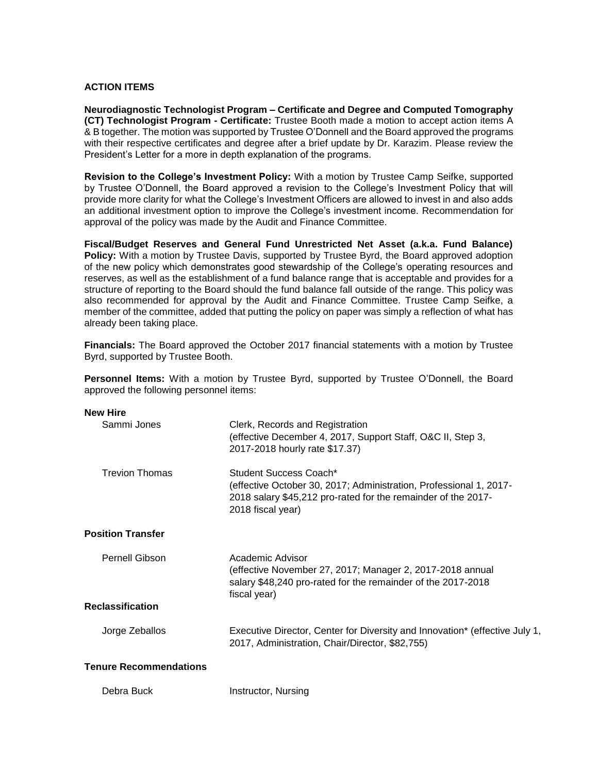## **ACTION ITEMS**

**Neurodiagnostic Technologist Program – Certificate and Degree and Computed Tomography (CT) Technologist Program - Certificate:** Trustee Booth made a motion to accept action items A & B together. The motion was supported by Trustee O'Donnell and the Board approved the programs with their respective certificates and degree after a brief update by Dr. Karazim. Please review the President's Letter for a more in depth explanation of the programs.

**Revision to the College's Investment Policy:** With a motion by Trustee Camp Seifke, supported by Trustee O'Donnell, the Board approved a revision to the College's Investment Policy that will provide more clarity for what the College's Investment Officers are allowed to invest in and also adds an additional investment option to improve the College's investment income. Recommendation for approval of the policy was made by the Audit and Finance Committee.

**Fiscal/Budget Reserves and General Fund Unrestricted Net Asset (a.k.a. Fund Balance) Policy:** With a motion by Trustee Davis, supported by Trustee Byrd, the Board approved adoption of the new policy which demonstrates good stewardship of the College's operating resources and reserves, as well as the establishment of a fund balance range that is acceptable and provides for a structure of reporting to the Board should the fund balance fall outside of the range. This policy was also recommended for approval by the Audit and Finance Committee. Trustee Camp Seifke, a member of the committee, added that putting the policy on paper was simply a reflection of what has already been taking place.

**Financials:** The Board approved the October 2017 financial statements with a motion by Trustee Byrd, supported by Trustee Booth.

**Personnel Items:** With a motion by Trustee Byrd, supported by Trustee O'Donnell, the Board approved the following personnel items:

| <b>New Hire</b> |  |
|-----------------|--|
|-----------------|--|

| Sammi Jones                   | Clerk, Records and Registration<br>(effective December 4, 2017, Support Staff, O&C II, Step 3,<br>2017-2018 hourly rate \$17.37)                                                   |
|-------------------------------|------------------------------------------------------------------------------------------------------------------------------------------------------------------------------------|
| Trevion Thomas                | Student Success Coach*<br>(effective October 30, 2017; Administration, Professional 1, 2017-<br>2018 salary \$45,212 pro-rated for the remainder of the 2017-<br>2018 fiscal year) |
| <b>Position Transfer</b>      |                                                                                                                                                                                    |
| <b>Pernell Gibson</b>         | Academic Advisor<br>(effective November 27, 2017; Manager 2, 2017-2018 annual<br>salary \$48,240 pro-rated for the remainder of the 2017-2018<br>fiscal year)                      |
| <b>Reclassification</b>       |                                                                                                                                                                                    |
| Jorge Zeballos                | Executive Director, Center for Diversity and Innovation* (effective July 1,<br>2017, Administration, Chair/Director, \$82,755)                                                     |
| <b>Tenure Recommendations</b> |                                                                                                                                                                                    |

| Debra Buck | Instructor, Nursing |  |
|------------|---------------------|--|
|------------|---------------------|--|